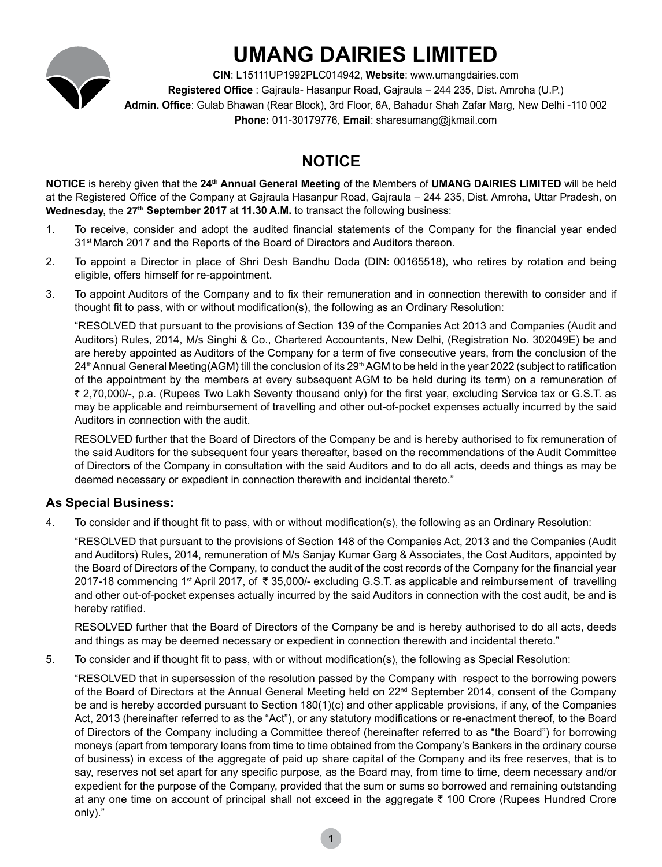

# **UMANG DAIRIES LIMITED**

**CIN**: L15111UP1992PLC014942, **Website**: www.umangdairies.com **Registered Office** : Gajraula- Hasanpur Road, Gajraula – 244 235, Dist. Amroha (U.P.) **Admin. Office**: Gulab Bhawan (Rear Block), 3rd Floor, 6A, Bahadur Shah Zafar Marg, New Delhi -110 002 **Phone:** 011-30179776, **Email**: sharesumang@jkmail.com

# **NOTICE**

**NOTICE** is hereby given that the **24th Annual General Meeting** of the Members of **UMANG DAIRIES LIMITED** will be held at the Registered Office of the Company at Gajraula Hasanpur Road, Gajraula – 244 235, Dist. Amroha, Uttar Pradesh, on Wednesday, the 27<sup>th</sup> September 2017 at 11.30 A.M. to transact the following business:

- 1. To receive, consider and adopt the audited financial statements of the Company for the financial year ended 31<sup>st</sup> March 2017 and the Reports of the Board of Directors and Auditors thereon.
- 2. To appoint a Director in place of Shri Desh Bandhu Doda (DIN: 00165518), who retires by rotation and being eligible, offers himself for re-appointment.
- 3. To appoint Auditors of the Company and to fix their remuneration and in connection therewith to consider and if thought fit to pass, with or without modification(s), the following as an Ordinary Resolution:

"RESOLVED that pursuant to the provisions of Section 139 of the Companies Act 2013 and Companies (Audit and Auditors) Rules, 2014, M/s Singhi & Co., Chartered Accountants, New Delhi, (Registration No. 302049E) be and are hereby appointed as Auditors of the Company for a term of five consecutive years, from the conclusion of the 24th Annual General Meeting(AGM) till the conclusion of its 29th AGM to be held in the year 2022 (subject to ratification of the appointment by the members at every subsequent AGM to be held during its term) on a remuneration of ` 2,70,000/-, p.a. (Rupees Two Lakh Seventy thousand only) for the first year, excluding Service tax or G.S.T. as may be applicable and reimbursement of travelling and other out-of-pocket expenses actually incurred by the said Auditors in connection with the audit.

RESOLVED further that the Board of Directors of the Company be and is hereby authorised to fix remuneration of the said Auditors for the subsequent four years thereafter, based on the recommendations of the Audit Committee of Directors of the Company in consultation with the said Auditors and to do all acts, deeds and things as may be deemed necessary or expedient in connection therewith and incidental thereto."

### **As Special Business:**

4. To consider and if thought fit to pass, with or without modification(s), the following as an Ordinary Resolution:

"RESOLVED that pursuant to the provisions of Section 148 of the Companies Act, 2013 and the Companies (Audit and Auditors) Rules, 2014, remuneration of M/s Sanjay Kumar Garg & Associates, the Cost Auditors, appointed by the Board of Directors of the Company, to conduct the audit of the cost records of the Company for the financial year 2017-18 commencing 1<sup>st</sup> April 2017, of  $\bar{\tau}$  35,000/- excluding G.S.T. as applicable and reimbursement of travelling and other out-of-pocket expenses actually incurred by the said Auditors in connection with the cost audit, be and is hereby ratified.

RESOLVED further that the Board of Directors of the Company be and is hereby authorised to do all acts, deeds and things as may be deemed necessary or expedient in connection therewith and incidental thereto."

5. To consider and if thought fit to pass, with or without modification(s), the following as Special Resolution:

"RESOLVED that in supersession of the resolution passed by the Company with respect to the borrowing powers of the Board of Directors at the Annual General Meeting held on 22<sup>nd</sup> September 2014, consent of the Company be and is hereby accorded pursuant to Section 180(1)(c) and other applicable provisions, if any, of the Companies Act, 2013 (hereinafter referred to as the "Act"), or any statutory modifications or re-enactment thereof, to the Board of Directors of the Company including a Committee thereof (hereinafter referred to as "the Board") for borrowing moneys (apart from temporary loans from time to time obtained from the Company's Bankers in the ordinary course of business) in excess of the aggregate of paid up share capital of the Company and its free reserves, that is to say, reserves not set apart for any specific purpose, as the Board may, from time to time, deem necessary and/or expedient for the purpose of the Company, provided that the sum or sums so borrowed and remaining outstanding at any one time on account of principal shall not exceed in the aggregate  $\bar{\tau}$  100 Crore (Rupees Hundred Crore only)."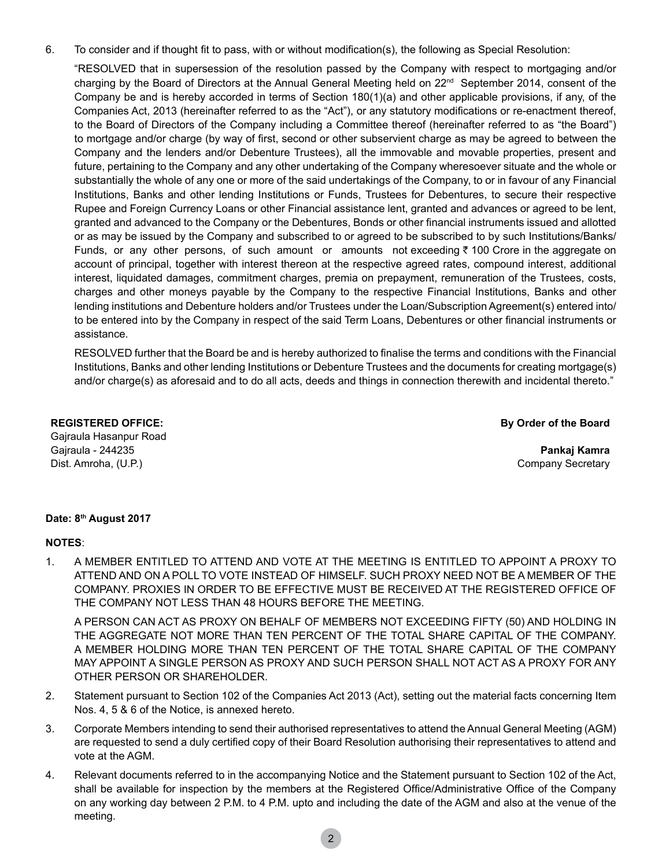6. To consider and if thought fit to pass, with or without modification(s), the following as Special Resolution:

"RESOLVED that in supersession of the resolution passed by the Company with respect to mortgaging and/or charging by the Board of Directors at the Annual General Meeting held on 22<sup>nd</sup> September 2014, consent of the Company be and is hereby accorded in terms of Section 180(1)(a) and other applicable provisions, if any, of the Companies Act, 2013 (hereinafter referred to as the "Act"), or any statutory modifications or re-enactment thereof, to the Board of Directors of the Company including a Committee thereof (hereinafter referred to as "the Board") to mortgage and/or charge (by way of first, second or other subservient charge as may be agreed to between the Company and the lenders and/or Debenture Trustees), all the immovable and movable properties, present and future, pertaining to the Company and any other undertaking of the Company wheresoever situate and the whole or substantially the whole of any one or more of the said undertakings of the Company, to or in favour of any Financial Institutions, Banks and other lending Institutions or Funds, Trustees for Debentures, to secure their respective Rupee and Foreign Currency Loans or other Financial assistance lent, granted and advances or agreed to be lent, granted and advanced to the Company or the Debentures, Bonds or other financial instruments issued and allotted or as may be issued by the Company and subscribed to or agreed to be subscribed to by such Institutions/Banks/ Funds, or any other persons, of such amount or amounts not exceeding  $\bar{\tau}$  100 Crore in the aggregate on account of principal, together with interest thereon at the respective agreed rates, compound interest, additional interest, liquidated damages, commitment charges, premia on prepayment, remuneration of the Trustees, costs, charges and other moneys payable by the Company to the respective Financial Institutions, Banks and other lending institutions and Debenture holders and/or Trustees under the Loan/Subscription Agreement(s) entered into/ to be entered into by the Company in respect of the said Term Loans, Debentures or other financial instruments or assistance.

RESOLVED further that the Board be and is hereby authorized to finalise the terms and conditions with the Financial Institutions, Banks and other lending Institutions or Debenture Trustees and the documents for creating mortgage(s) and/or charge(s) as aforesaid and to do all acts, deeds and things in connection therewith and incidental thereto."

#### **REGISTERED OFFICE:**

Gajraula Hasanpur Road Gajraula - 244235 Dist. Amroha, (U.P.)

**By Order of the Board** 

**Pankaj Kamra** Company Secretary

#### **Date: 8th August 2017**

#### **Notes**:

1. A MEMBER ENTITLED TO ATTEND AND VOTE AT THE MEETING IS ENTITLED TO APPOINT A PROXY TO ATTEND AND ON A POLL TO VOTE INSTEAD OF HIMSELF. SUCH PROXY NEED NOT BE A MEMBER OF THE COMPANY. PROXIES IN ORDER TO BE EFFECTIVE MUST BE RECEIVED AT THE REGISTERED OFFICE OF THE COMPANY NOT LESS THAN 48 HOURS BEFORE THE MEETING.

A PERSON CAN ACT AS PROXY ON BEHALF OF MEMBERS NOT EXCEEDING FIFTY (50) AND HOLDING IN THE AGGREGATE NOT MORE THAN TEN PERCENT OF THE TOTAL SHARE CAPITAL OF THE COMPANY. A MEMBER HOLDING MORE THAN TEN PERCENT OF THE TOTAL SHARE CAPITAL OF THE COMPANY MAY APPOINT A SINGLE PERSON AS PROXY AND SUCH PERSON SHALL NOT ACT AS A PROXY FOR ANY OTHER PERSON OR SHAREHOLDER.

- 2. Statement pursuant to Section 102 of the Companies Act 2013 (Act), setting out the material facts concerning Item Nos. 4, 5 & 6 of the Notice, is annexed hereto.
- 3. Corporate Members intending to send their authorised representatives to attend the Annual General Meeting (AGM) are requested to send a duly certified copy of their Board Resolution authorising their representatives to attend and vote at the AGM.
- 4. Relevant documents referred to in the accompanying Notice and the Statement pursuant to Section 102 of the Act, shall be available for inspection by the members at the Registered Office/Administrative Office of the Company on any working day between 2 P.M. to 4 P.M. upto and including the date of the AGM and also at the venue of the meeting.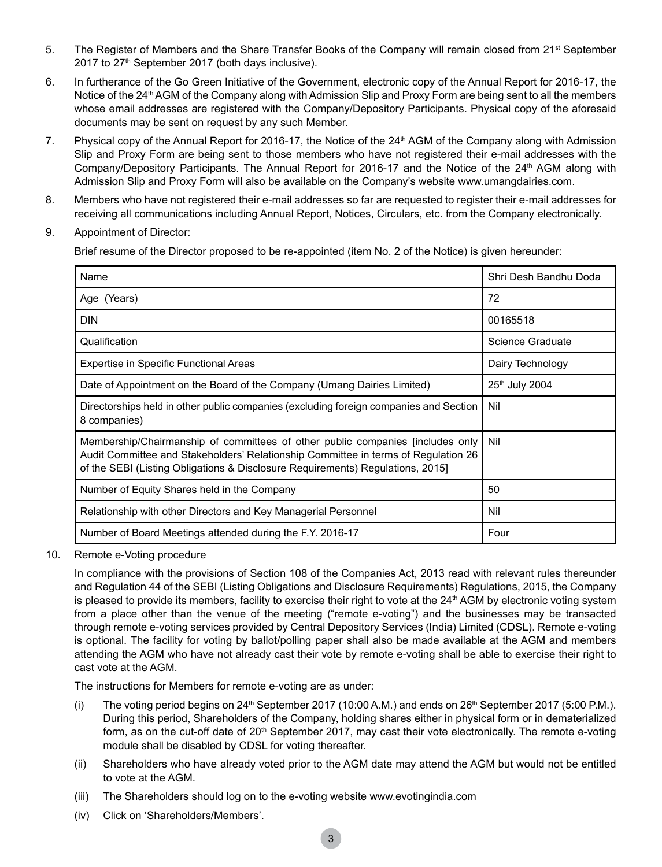- 5. The Register of Members and the Share Transfer Books of the Company will remain closed from 21<sup>st</sup> September 2017 to 27<sup>th</sup> September 2017 (both days inclusive).
- 6. In furtherance of the Go Green Initiative of the Government, electronic copy of the Annual Report for 2016-17, the Notice of the 24<sup>th</sup> AGM of the Company along with Admission Slip and Proxy Form are being sent to all the members whose email addresses are registered with the Company/Depository Participants. Physical copy of the aforesaid documents may be sent on request by any such Member.
- 7. Physical copy of the Annual Report for 2016-17, the Notice of the 24<sup>th</sup> AGM of the Company along with Admission Slip and Proxy Form are being sent to those members who have not registered their e-mail addresses with the Company/Depository Participants. The Annual Report for 2016-17 and the Notice of the 24<sup>th</sup> AGM along with Admission Slip and Proxy Form will also be available on the Company's website www.umangdairies.com.
- 8. Members who have not registered their e-mail addresses so far are requested to register their e-mail addresses for receiving all communications including Annual Report, Notices, Circulars, etc. from the Company electronically.
- 9. Appointment of Director:

Brief resume of the Director proposed to be re-appointed (item No. 2 of the Notice) is given hereunder:

| Name                                                                                                                                                                                                                                                  | Shri Desh Bandhu Doda |
|-------------------------------------------------------------------------------------------------------------------------------------------------------------------------------------------------------------------------------------------------------|-----------------------|
| Age (Years)                                                                                                                                                                                                                                           | 72                    |
| <b>DIN</b>                                                                                                                                                                                                                                            | 00165518              |
| Qualification                                                                                                                                                                                                                                         | Science Graduate      |
| Expertise in Specific Functional Areas                                                                                                                                                                                                                | Dairy Technology      |
| Date of Appointment on the Board of the Company (Umang Dairies Limited)                                                                                                                                                                               | 25th July 2004        |
| Directorships held in other public companies (excluding foreign companies and Section<br>8 companies)                                                                                                                                                 | Nil                   |
| Membership/Chairmanship of committees of other public companies [includes only<br>Audit Committee and Stakeholders' Relationship Committee in terms of Regulation 26<br>of the SEBI (Listing Obligations & Disclosure Requirements) Regulations, 2015 | Nil                   |
| Number of Equity Shares held in the Company                                                                                                                                                                                                           | 50                    |
| Relationship with other Directors and Key Managerial Personnel                                                                                                                                                                                        | Nil                   |
| Number of Board Meetings attended during the F.Y. 2016-17                                                                                                                                                                                             | Four                  |

10. Remote e-Voting procedure

In compliance with the provisions of Section 108 of the Companies Act, 2013 read with relevant rules thereunder and Regulation 44 of the SEBI (Listing Obligations and Disclosure Requirements) Regulations, 2015, the Company is pleased to provide its members, facility to exercise their right to vote at the  $24<sup>th</sup>$  AGM by electronic voting system from a place other than the venue of the meeting ("remote e-voting") and the businesses may be transacted through remote e-voting services provided by Central Depository Services (India) Limited (CDSL). Remote e-voting is optional. The facility for voting by ballot/polling paper shall also be made available at the AGM and members attending the AGM who have not already cast their vote by remote e-voting shall be able to exercise their right to cast vote at the AGM.

The instructions for Members for remote e-voting are as under:

- (i) The voting period begins on  $24<sup>th</sup>$  September 2017 (10:00 A.M.) and ends on  $26<sup>th</sup>$  September 2017 (5:00 P.M.). During this period, Shareholders of the Company, holding shares either in physical form or in dematerialized form, as on the cut-off date of 20<sup>th</sup> September 2017, may cast their vote electronically. The remote e-voting module shall be disabled by CDSL for voting thereafter.
- (ii) Shareholders who have already voted prior to the AGM date may attend the AGM but would not be entitled to vote at the AGM.
- (iii) The Shareholders should log on to the e-voting website www.evotingindia.com
- (iv) Click on 'Shareholders/Members'.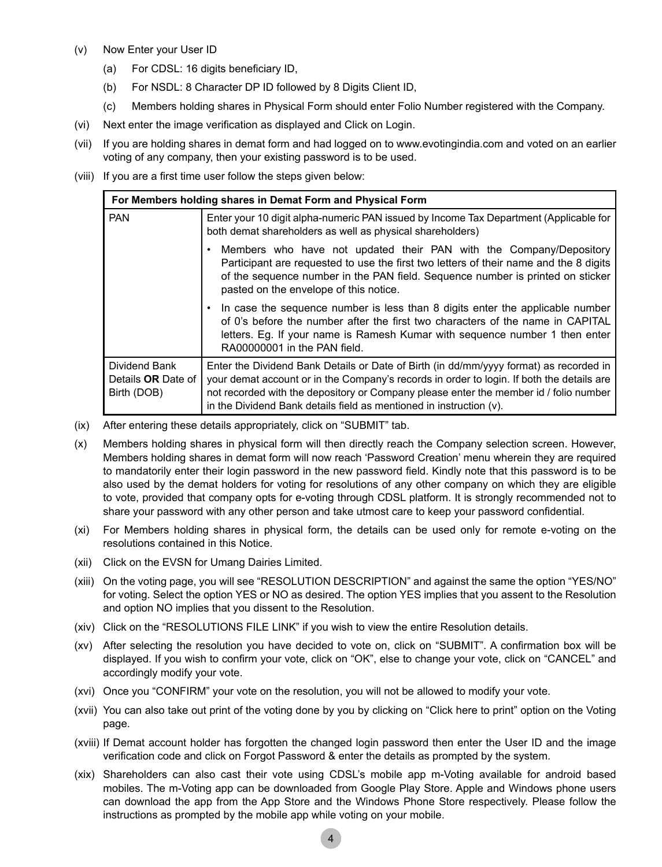- (v) Now Enter your User ID
	- (a) For CDSL: 16 digits beneficiary ID,
	- (b) For NSDL: 8 Character DP ID followed by 8 Digits Client ID,
	- (c) Members holding shares in Physical Form should enter Folio Number registered with the Company.
- (vi) Next enter the image verification as displayed and Click on Login.
- (vii) If you are holding shares in demat form and had logged on to www.evotingindia.com and voted on an earlier voting of any company, then your existing password is to be used.
- (viii) If you are a first time user follow the steps given below:

| For Members holding shares in Demat Form and Physical Form |                                                                                                                                                                                                                                                                                                                                                     |  |  |  |
|------------------------------------------------------------|-----------------------------------------------------------------------------------------------------------------------------------------------------------------------------------------------------------------------------------------------------------------------------------------------------------------------------------------------------|--|--|--|
| <b>PAN</b>                                                 | Enter your 10 digit alpha-numeric PAN issued by Income Tax Department (Applicable for<br>both demat shareholders as well as physical shareholders)                                                                                                                                                                                                  |  |  |  |
|                                                            | Members who have not updated their PAN with the Company/Depository<br>٠<br>Participant are requested to use the first two letters of their name and the 8 digits<br>of the sequence number in the PAN field. Sequence number is printed on sticker<br>pasted on the envelope of this notice.                                                        |  |  |  |
|                                                            | In case the sequence number is less than 8 digits enter the applicable number<br>٠<br>of 0's before the number after the first two characters of the name in CAPITAI<br>letters. Eq. If your name is Ramesh Kumar with sequence number 1 then enter<br>RA00000001 in the PAN field.                                                                 |  |  |  |
| Dividend Bank<br>Details OR Date of<br>Birth (DOB)         | Enter the Dividend Bank Details or Date of Birth (in dd/mm/yyyy format) as recorded in<br>your demat account or in the Company's records in order to login. If both the details are<br>not recorded with the depository or Company please enter the member id / folio number<br>in the Dividend Bank details field as mentioned in instruction (v). |  |  |  |

- (ix) After entering these details appropriately, click on "SUBMIT" tab.
- (x) Members holding shares in physical form will then directly reach the Company selection screen. However, Members holding shares in demat form will now reach 'Password Creation' menu wherein they are required to mandatorily enter their login password in the new password field. Kindly note that this password is to be also used by the demat holders for voting for resolutions of any other company on which they are eligible to vote, provided that company opts for e-voting through CDSL platform. It is strongly recommended not to share your password with any other person and take utmost care to keep your password confidential.
- (xi) For Members holding shares in physical form, the details can be used only for remote e-voting on the resolutions contained in this Notice.
- (xii) Click on the EVSN for Umang Dairies Limited.
- (xiii) On the voting page, you will see "RESOLUTION DESCRIPTION" and against the same the option "YES/NO" for voting. Select the option YES or NO as desired. The option YES implies that you assent to the Resolution and option NO implies that you dissent to the Resolution.
- (xiv) Click on the "RESOLUTIONS FILE LINK" if you wish to view the entire Resolution details.
- (xv) After selecting the resolution you have decided to vote on, click on "SUBMIT". A confirmation box will be displayed. If you wish to confirm your vote, click on "OK", else to change your vote, click on "CANCEL" and accordingly modify your vote.
- (xvi) Once you "CONFIRM" your vote on the resolution, you will not be allowed to modify your vote.
- (xvii) You can also take out print of the voting done by you by clicking on "Click here to print" option on the Voting page.
- (xviii) If Demat account holder has forgotten the changed login password then enter the User ID and the image verification code and click on Forgot Password & enter the details as prompted by the system.
- (xix) Shareholders can also cast their vote using CDSL's mobile app m-Voting available for android based mobiles. The m-Voting app can be downloaded from Google Play Store. Apple and Windows phone users can download the app from the App Store and the Windows Phone Store respectively. Please follow the instructions as prompted by the mobile app while voting on your mobile.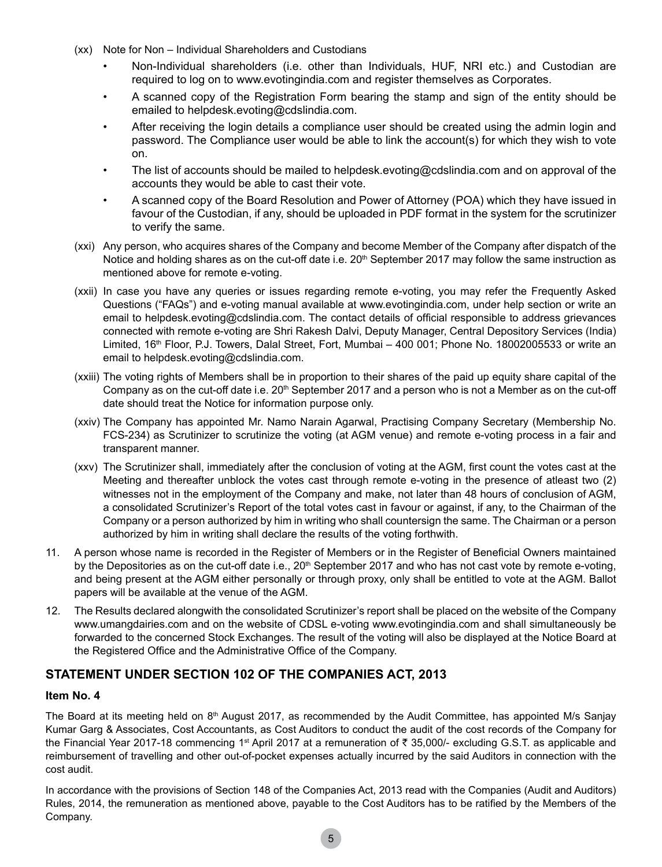- (xx) Note for Non Individual Shareholders and Custodians
	- Non-Individual shareholders (i.e. other than Individuals, HUF, NRI etc.) and Custodian are required to log on to www.evotingindia.com and register themselves as Corporates.
	- A scanned copy of the Registration Form bearing the stamp and sign of the entity should be emailed to helpdesk.evoting@cdslindia.com.
	- After receiving the login details a compliance user should be created using the admin login and password. The Compliance user would be able to link the account(s) for which they wish to vote on.
	- The list of accounts should be mailed to helpdesk.evoting@cdslindia.com and on approval of the accounts they would be able to cast their vote.
	- A scanned copy of the Board Resolution and Power of Attorney (POA) which they have issued in favour of the Custodian, if any, should be uploaded in PDF format in the system for the scrutinizer to verify the same.
- (xxi) Any person, who acquires shares of the Company and become Member of the Company after dispatch of the Notice and holding shares as on the cut-off date i.e.  $20<sup>th</sup>$  September 2017 may follow the same instruction as mentioned above for remote e-voting.
- (xxii) In case you have any queries or issues regarding remote e-voting, you may refer the Frequently Asked Questions ("FAQs") and e-voting manual available at www.evotingindia.com, under help section or write an email to helpdesk.evoting@cdslindia.com. The contact details of official responsible to address grievances connected with remote e-voting are Shri Rakesh Dalvi, Deputy Manager, Central Depository Services (India) Limited, 16<sup>th</sup> Floor, P.J. Towers, Dalal Street, Fort, Mumbai – 400 001; Phone No. 18002005533 or write an email to helpdesk.evoting@cdslindia.com.
- (xxiii) The voting rights of Members shall be in proportion to their shares of the paid up equity share capital of the Company as on the cut-off date i.e. 20<sup>th</sup> September 2017 and a person who is not a Member as on the cut-off date should treat the Notice for information purpose only.
- (xxiv) The Company has appointed Mr. Namo Narain Agarwal, Practising Company Secretary (Membership No. FCS-234) as Scrutinizer to scrutinize the voting (at AGM venue) and remote e-voting process in a fair and transparent manner.
- (xxv) The Scrutinizer shall, immediately after the conclusion of voting at the AGM, first count the votes cast at the Meeting and thereafter unblock the votes cast through remote e-voting in the presence of atleast two (2) witnesses not in the employment of the Company and make, not later than 48 hours of conclusion of AGM, a consolidated Scrutinizer's Report of the total votes cast in favour or against, if any, to the Chairman of the Company or a person authorized by him in writing who shall countersign the same. The Chairman or a person authorized by him in writing shall declare the results of the voting forthwith.
- 11. A person whose name is recorded in the Register of Members or in the Register of Beneficial Owners maintained by the Depositories as on the cut-off date i.e.,  $20<sup>th</sup>$  September 2017 and who has not cast vote by remote e-voting, and being present at the AGM either personally or through proxy, only shall be entitled to vote at the AGM. Ballot papers will be available at the venue of the AGM.
- 12. The Results declared alongwith the consolidated Scrutinizer's report shall be placed on the website of the Company www.umangdairies.com and on the website of CDSL e-voting www.evotingindia.com and shall simultaneously be forwarded to the concerned Stock Exchanges. The result of the voting will also be displayed at the Notice Board at the Registered Office and the Administrative Office of the Company.

### **STATEMENT UNDER SECTION 102 OF THE COMPANIES ACT, 2013**

#### **Item No. 4**

The Board at its meeting held on 8<sup>th</sup> August 2017, as recommended by the Audit Committee, has appointed M/s Sanjay Kumar Garg & Associates, Cost Accountants, as Cost Auditors to conduct the audit of the cost records of the Company for the Financial Year 2017-18 commencing 1<sup>st</sup> April 2017 at a remuneration of  $\bar{\tau}$  35,000/- excluding G.S.T. as applicable and reimbursement of travelling and other out-of-pocket expenses actually incurred by the said Auditors in connection with the cost audit.

In accordance with the provisions of Section 148 of the Companies Act, 2013 read with the Companies (Audit and Auditors) Rules, 2014, the remuneration as mentioned above, payable to the Cost Auditors has to be ratified by the Members of the Company.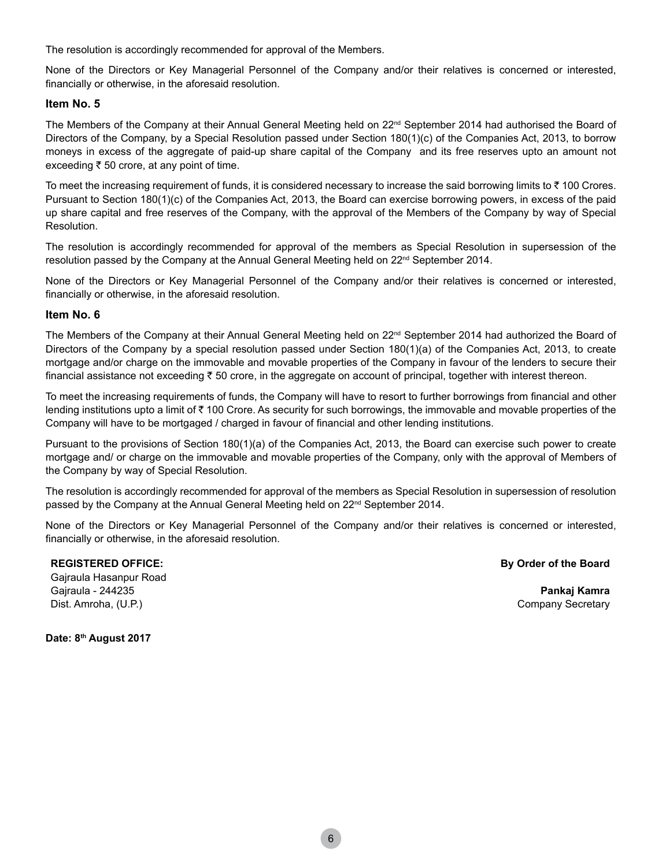The resolution is accordingly recommended for approval of the Members.

None of the Directors or Key Managerial Personnel of the Company and/or their relatives is concerned or interested, financially or otherwise, in the aforesaid resolution.

#### **Item No. 5**

The Members of the Company at their Annual General Meeting held on 22<sup>nd</sup> September 2014 had authorised the Board of Directors of the Company, by a Special Resolution passed under Section 180(1)(c) of the Companies Act, 2013, to borrow moneys in excess of the aggregate of paid-up share capital of the Company and its free reserves upto an amount not exceeding  $\overline{\tau}$  50 crore, at any point of time.

To meet the increasing requirement of funds, it is considered necessary to increase the said borrowing limits to  $\bar{\tau}$  100 Crores. Pursuant to Section 180(1)(c) of the Companies Act, 2013, the Board can exercise borrowing powers, in excess of the paid up share capital and free reserves of the Company, with the approval of the Members of the Company by way of Special Resolution.

The resolution is accordingly recommended for approval of the members as Special Resolution in supersession of the resolution passed by the Company at the Annual General Meeting held on 22<sup>nd</sup> September 2014.

None of the Directors or Key Managerial Personnel of the Company and/or their relatives is concerned or interested, financially or otherwise, in the aforesaid resolution.

#### **Item No. 6**

The Members of the Company at their Annual General Meeting held on 22<sup>nd</sup> September 2014 had authorized the Board of Directors of the Company by a special resolution passed under Section 180(1)(a) of the Companies Act, 2013, to create mortgage and/or charge on the immovable and movable properties of the Company in favour of the lenders to secure their financial assistance not exceeding  $\bar{z}$  50 crore, in the aggregate on account of principal, together with interest thereon.

To meet the increasing requirements of funds, the Company will have to resort to further borrowings from financial and other lending institutions upto a limit of  $\bar{\tau}$  100 Crore. As security for such borrowings, the immovable and movable properties of the Company will have to be mortgaged / charged in favour of financial and other lending institutions.

Pursuant to the provisions of Section 180(1)(a) of the Companies Act, 2013, the Board can exercise such power to create mortgage and/ or charge on the immovable and movable properties of the Company, only with the approval of Members of the Company by way of Special Resolution.

The resolution is accordingly recommended for approval of the members as Special Resolution in supersession of resolution passed by the Company at the Annual General Meeting held on 22<sup>nd</sup> September 2014.

None of the Directors or Key Managerial Personnel of the Company and/or their relatives is concerned or interested, financially or otherwise, in the aforesaid resolution.

#### **REGISTERED OFFICE:**

**By Order of the Board** 

Gajraula Hasanpur Road Gajraula - 244235 Dist. Amroha, (U.P.)

**Pankaj Kamra** Company Secretary

**Date: 8th August 2017**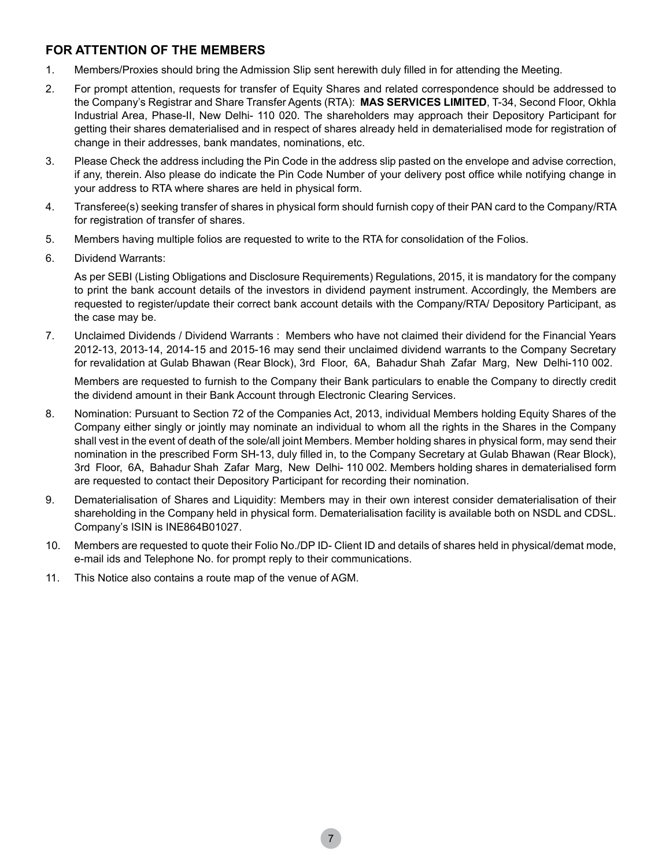## **FOR ATTENTION OF THE MEMBERS**

- 1. Members/Proxies should bring the Admission Slip sent herewith duly filled in for attending the Meeting.
- 2. For prompt attention, requests for transfer of Equity Shares and related correspondence should be addressed to the Company's Registrar and Share Transfer Agents (RTA): **MAS SERVICES LIMITED**, T-34, Second Floor, Okhla Industrial Area, Phase-II, New Delhi- 110 020. The shareholders may approach their Depository Participant for getting their shares dematerialised and in respect of shares already held in dematerialised mode for registration of change in their addresses, bank mandates, nominations, etc.
- 3. Please Check the address including the Pin Code in the address slip pasted on the envelope and advise correction, if any, therein. Also please do indicate the Pin Code Number of your delivery post office while notifying change in your address to RTA where shares are held in physical form.
- 4. Transferee(s) seeking transfer of shares in physical form should furnish copy of their PAN card to the Company/RTA for registration of transfer of shares.
- 5. Members having multiple folios are requested to write to the RTA for consolidation of the Folios.
- 6. Dividend Warrants:

As per SEBI (Listing Obligations and Disclosure Requirements) Regulations, 2015, it is mandatory for the company to print the bank account details of the investors in dividend payment instrument. Accordingly, the Members are requested to register/update their correct bank account details with the Company/RTA/ Depository Participant, as the case may be.

7. Unclaimed Dividends / Dividend Warrants : Members who have not claimed their dividend for the Financial Years 2012-13, 2013-14, 2014-15 and 2015-16 may send their unclaimed dividend warrants to the Company Secretary for revalidation at Gulab Bhawan (Rear Block), 3rd Floor, 6A, Bahadur Shah Zafar Marg, New Delhi-110 002.

Members are requested to furnish to the Company their Bank particulars to enable the Company to directly credit the dividend amount in their Bank Account through Electronic Clearing Services.

- 8. Nomination: Pursuant to Section 72 of the Companies Act, 2013, individual Members holding Equity Shares of the Company either singly or jointly may nominate an individual to whom all the rights in the Shares in the Company shall vest in the event of death of the sole/all joint Members. Member holding shares in physical form, may send their nomination in the prescribed Form SH-13, duly filled in, to the Company Secretary at Gulab Bhawan (Rear Block), 3rd Floor, 6A, Bahadur Shah Zafar Marg, New Delhi- 110 002. Members holding shares in dematerialised form are requested to contact their Depository Participant for recording their nomination.
- 9. Dematerialisation of Shares and Liquidity: Members may in their own interest consider dematerialisation of their shareholding in the Company held in physical form. Dematerialisation facility is available both on NSDL and CDSL. Company's ISIN is INE864B01027.
- 10. Members are requested to quote their Folio No./DP ID- Client ID and details of shares held in physical/demat mode, e-mail ids and Telephone No. for prompt reply to their communications.
- 11. This Notice also contains a route map of the venue of AGM.

7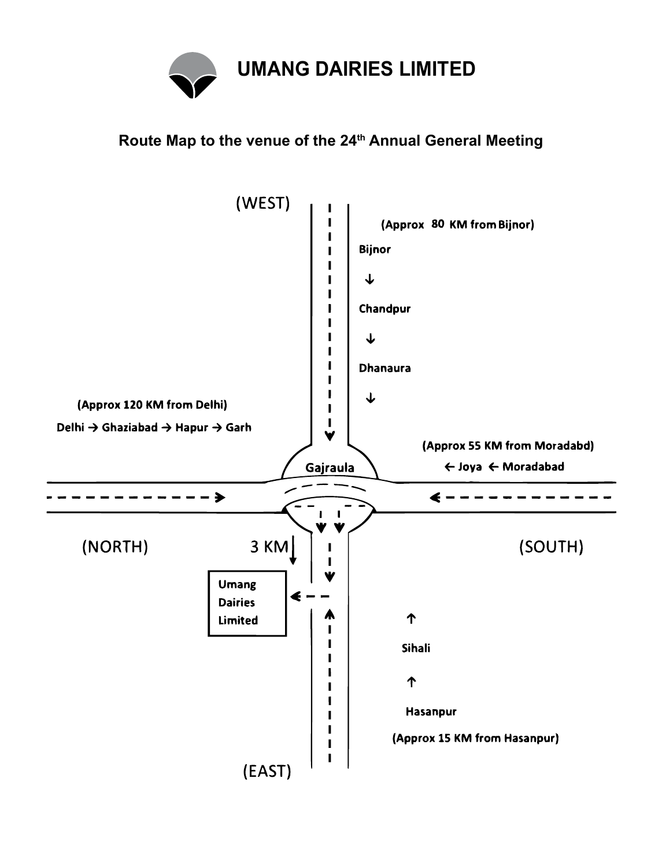

## **Route Map to the venue of the 24th Annual General Meeting**

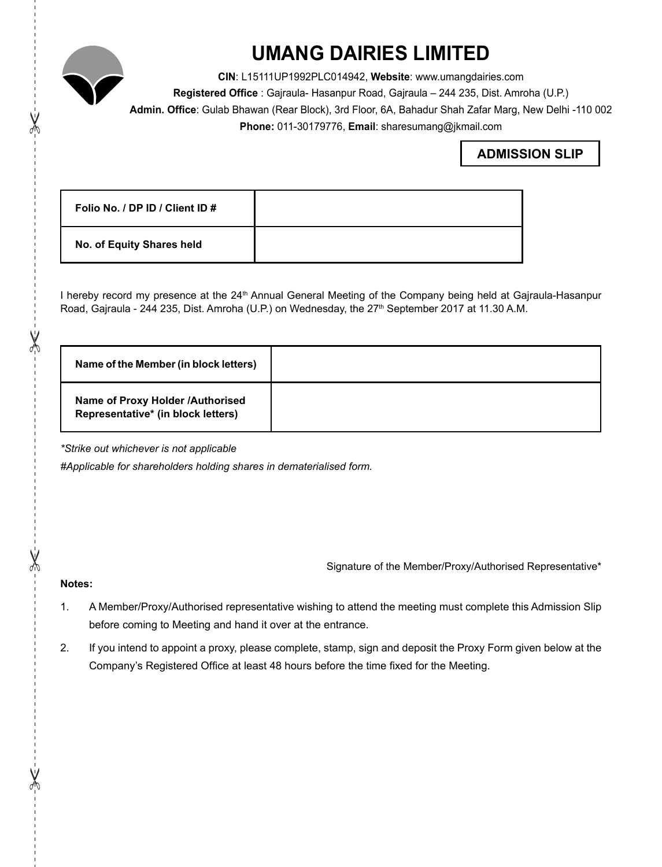

# **UMANG DAIRIES LIMITED**

**CIN**: L15111UP1992PLC014942, **Website**: www.umangdairies.com **Registered Office** : Gajraula- Hasanpur Road, Gajraula – 244 235, Dist. Amroha (U.P.) **Admin. Office**: Gulab Bhawan (Rear Block), 3rd Floor, 6A, Bahadur Shah Zafar Marg, New Delhi -110 002 **Phone:** 011-30179776, **Email**: sharesumang@jkmail.com

## **ADMISSION SLIP**

| Folio No. / DP ID / Client ID # |  |
|---------------------------------|--|
| No. of Equity Shares held       |  |

I hereby record my presence at the 24<sup>th</sup> Annual General Meeting of the Company being held at Gajraula-Hasanpur Road, Gajraula - 244 235, Dist. Amroha (U.P.) on Wednesday, the 27<sup>th</sup> September 2017 at 11.30 A.M.

| Name of the Member (in block letters)                                  |  |
|------------------------------------------------------------------------|--|
| Name of Proxy Holder /Authorised<br>Representative* (in block letters) |  |

*\*Strike out whichever is not applicable*

*#Applicable for shareholders holding shares in dematerialised form.*

Signature of the Member/Proxy/Authorised Representative\*

### **Notes:**

- 1. A Member/Proxy/Authorised representative wishing to attend the meeting must complete this Admission Slip before coming to Meeting and hand it over at the entrance.
- 2. If you intend to appoint a proxy, please complete, stamp, sign and deposit the Proxy Form given below at the Company's Registered Office at least 48 hours before the time fixed for the Meeting.